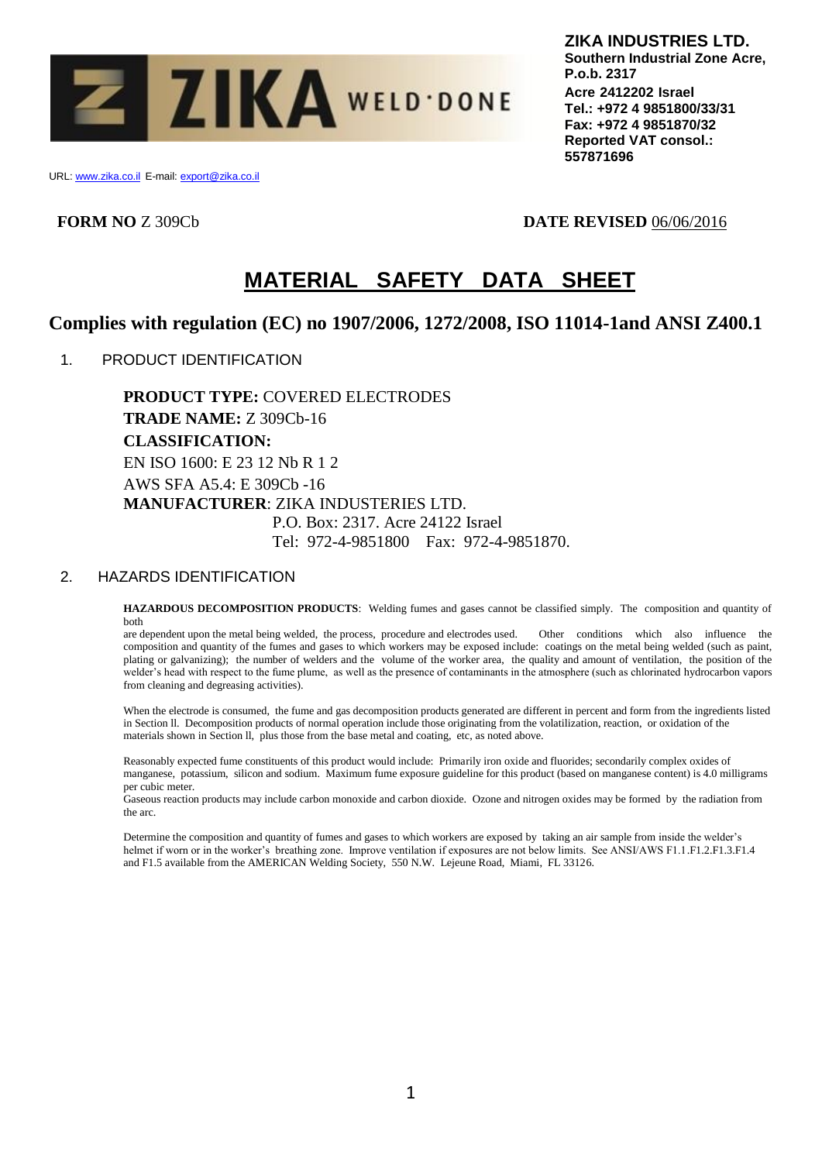

URL: www.zika.co.il E-mail: export@zika.co.il

**FORM NO** Z 309Cb **DATE REVISED** 06/06/2016

# **MATERIAL SAFETY DATA SHEET**

# **Complies with regulation (EC) no 1907/2006, 1272/2008, ISO 11014-1and ANSI Z400.1**

1. PRODUCT IDENTIFICATION

**PRODUCT TYPE:** COVERED ELECTRODES **TRADE NAME:** Z 309Cb-16 **CLASSIFICATION:** EN ISO 1600: E 23 12 Nb R 1 2 AWS SFA A5.4: E 309Cb -16 **MANUFACTURER**: ZIKA INDUSTERIES LTD. P.O. Box: 2317. Acre 24122 Israel Tel: 972-4-9851800 Fax: 972-4-9851870.

## 2. HAZARDS IDENTIFICATION

**HAZARDOUS DECOMPOSITION PRODUCTS**: Welding fumes and gases cannot be classified simply. The composition and quantity of both

are dependent upon the metal being welded, the process, procedure and electrodes used. Other conditions which also influence the composition and quantity of the fumes and gases to which workers may be exposed include: coatings on the metal being welded (such as paint, plating or galvanizing); the number of welders and the volume of the worker area, the quality and amount of ventilation, the position of the welder's head with respect to the fume plume, as well as the presence of contaminants in the atmosphere (such as chlorinated hydrocarbon vapors from cleaning and degreasing activities).

When the electrode is consumed, the fume and gas decomposition products generated are different in percent and form from the ingredients listed in Section ll. Decomposition products of normal operation include those originating from the volatilization, reaction, or oxidation of the materials shown in Section ll, plus those from the base metal and coating, etc, as noted above.

Reasonably expected fume constituents of this product would include: Primarily iron oxide and fluorides; secondarily complex oxides of manganese, potassium, silicon and sodium. Maximum fume exposure guideline for this product (based on manganese content) is 4.0 milligrams per cubic meter.

Gaseous reaction products may include carbon monoxide and carbon dioxide. Ozone and nitrogen oxides may be formed by the radiation from the arc.

Determine the composition and quantity of fumes and gases to which workers are exposed by taking an air sample from inside the welder's helmet if worn or in the worker's breathing zone. Improve ventilation if exposures are not below limits. See ANSI/AWS F1.1.F1.2.F1.3.F1.4 and F1.5 available from the AMERICAN Welding Society, 550 N.W. Lejeune Road, Miami, FL 33126.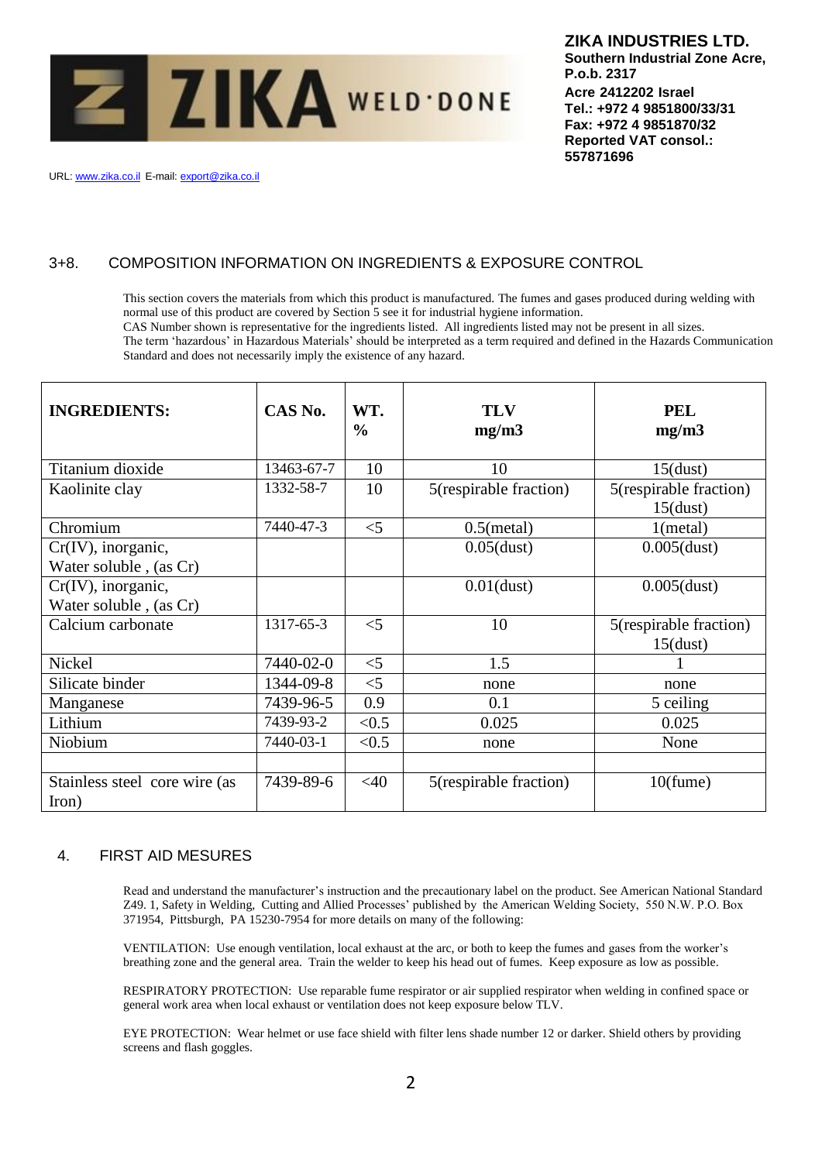

URL: www.zika.co.il E-mail: export@zika.co.il

# 3+8. COMPOSITION INFORMATION ON INGREDIENTS & EXPOSURE CONTROL

This section covers the materials from which this product is manufactured. The fumes and gases produced during welding with normal use of this product are covered by Section 5 see it for industrial hygiene information.

CAS Number shown is representative for the ingredients listed. All ingredients listed may not be present in all sizes.

The term 'hazardous' in Hazardous Materials' should be interpreted as a term required and defined in the Hazards Communication Standard and does not necessarily imply the existence of any hazard.

| <b>INGREDIENTS:</b>                             | CAS No.    | WT.<br>$\frac{6}{6}$ | <b>TLV</b><br>mg/m3    | <b>PEL</b><br>mg/m3                   |
|-------------------------------------------------|------------|----------------------|------------------------|---------------------------------------|
| Titanium dioxide                                | 13463-67-7 | 10                   | 10                     | $15$ (dust)                           |
| Kaolinite clay                                  | 1332-58-7  | 10                   | 5(respirable fraction) | 5(respirable fraction)<br>$15$ (dust) |
| Chromium                                        | 7440-47-3  | $<$ 5                | $0.5$ (metal)          | 1(metal)                              |
| $Cr(IV)$ , inorganic,<br>Water soluble, (as Cr) |            |                      | $0.05$ (dust)          | $0.005$ (dust)                        |
| $Cr(IV)$ , inorganic,<br>Water soluble, (as Cr) |            |                      | $0.01$ (dust)          | $0.005$ (dust)                        |
| Calcium carbonate                               | 1317-65-3  | $<$ 5                | 10                     | 5(respirable fraction)<br>$15$ (dust) |
| Nickel                                          | 7440-02-0  | $<$ 5                | 1.5                    |                                       |
| Silicate binder                                 | 1344-09-8  | $<$ 5                | none                   | none                                  |
| Manganese                                       | 7439-96-5  | 0.9                  | 0.1                    | 5 ceiling                             |
| Lithium                                         | 7439-93-2  | < 0.5                | 0.025                  | 0.025                                 |
| Niobium                                         | 7440-03-1  | < 0.5                | none                   | None                                  |
| Stainless steel core wire (as<br>Iron)          | 7439-89-6  | $<$ 40               | 5(respirable fraction) | $10$ (fume)                           |

## 4. FIRST AID MESURES

Read and understand the manufacturer's instruction and the precautionary label on the product. See American National Standard Z49. 1, Safety in Welding, Cutting and Allied Processes' published by the American Welding Society, 550 N.W. P.O. Box 371954, Pittsburgh, PA 15230-7954 for more details on many of the following:

VENTILATION: Use enough ventilation, local exhaust at the arc, or both to keep the fumes and gases from the worker's breathing zone and the general area. Train the welder to keep his head out of fumes. Keep exposure as low as possible.

RESPIRATORY PROTECTION: Use reparable fume respirator or air supplied respirator when welding in confined space or general work area when local exhaust or ventilation does not keep exposure below TLV.

EYE PROTECTION: Wear helmet or use face shield with filter lens shade number 12 or darker. Shield others by providing screens and flash goggles.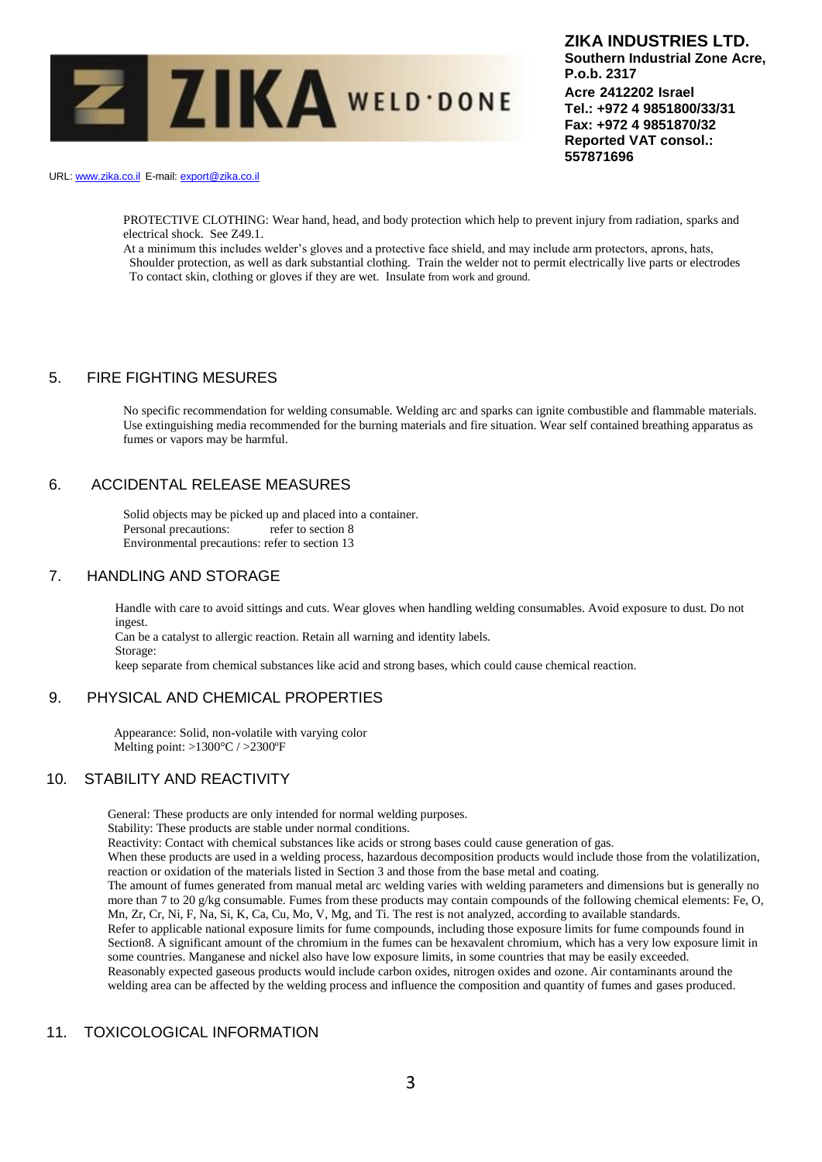

URL: www.zika.co.il E-mail: export@zika.co.il

PROTECTIVE CLOTHING: Wear hand, head, and body protection which help to prevent injury from radiation, sparks and electrical shock. See Z49.1.

At a minimum this includes welder's gloves and a protective face shield, and may include arm protectors, aprons, hats, Shoulder protection, as well as dark substantial clothing. Train the welder not to permit electrically live parts or electrodes To contact skin, clothing or gloves if they are wet. Insulate from work and ground.

## 5. FIRE FIGHTING MESURES

No specific recommendation for welding consumable. Welding arc and sparks can ignite combustible and flammable materials. Use extinguishing media recommended for the burning materials and fire situation. Wear self contained breathing apparatus as fumes or vapors may be harmful.

## 6. ACCIDENTAL RELEASE MEASURES

Solid objects may be picked up and placed into a container. Personal precautions: refer to section 8 Environmental precautions: refer to section 13

#### 7. HANDLING AND STORAGE

Handle with care to avoid sittings and cuts. Wear gloves when handling welding consumables. Avoid exposure to dust. Do not ingest.

Can be a catalyst to allergic reaction. Retain all warning and identity labels. Storage:

keep separate from chemical substances like acid and strong bases, which could cause chemical reaction.

## 9. PHYSICAL AND CHEMICAL PROPERTIES

 Appearance: Solid, non-volatile with varying color Melting point: >1300°C / >2300ºF

## 10. STABILITY AND REACTIVITY

General: These products are only intended for normal welding purposes.

Stability: These products are stable under normal conditions.

Reactivity: Contact with chemical substances like acids or strong bases could cause generation of gas.

When these products are used in a welding process, hazardous decomposition products would include those from the volatilization, reaction or oxidation of the materials listed in Section 3 and those from the base metal and coating.

The amount of fumes generated from manual metal arc welding varies with welding parameters and dimensions but is generally no more than 7 to 20 g/kg consumable. Fumes from these products may contain compounds of the following chemical elements: Fe, O, Mn, Zr, Cr, Ni, F, Na, Si, K, Ca, Cu, Mo, V, Mg, and Ti. The rest is not analyzed, according to available standards.

Refer to applicable national exposure limits for fume compounds, including those exposure limits for fume compounds found in Section8. A significant amount of the chromium in the fumes can be hexavalent chromium, which has a very low exposure limit in some countries. Manganese and nickel also have low exposure limits, in some countries that may be easily exceeded. Reasonably expected gaseous products would include carbon oxides, nitrogen oxides and ozone. Air contaminants around the

welding area can be affected by the welding process and influence the composition and quantity of fumes and gases produced.

## 11. TOXICOLOGICAL INFORMATION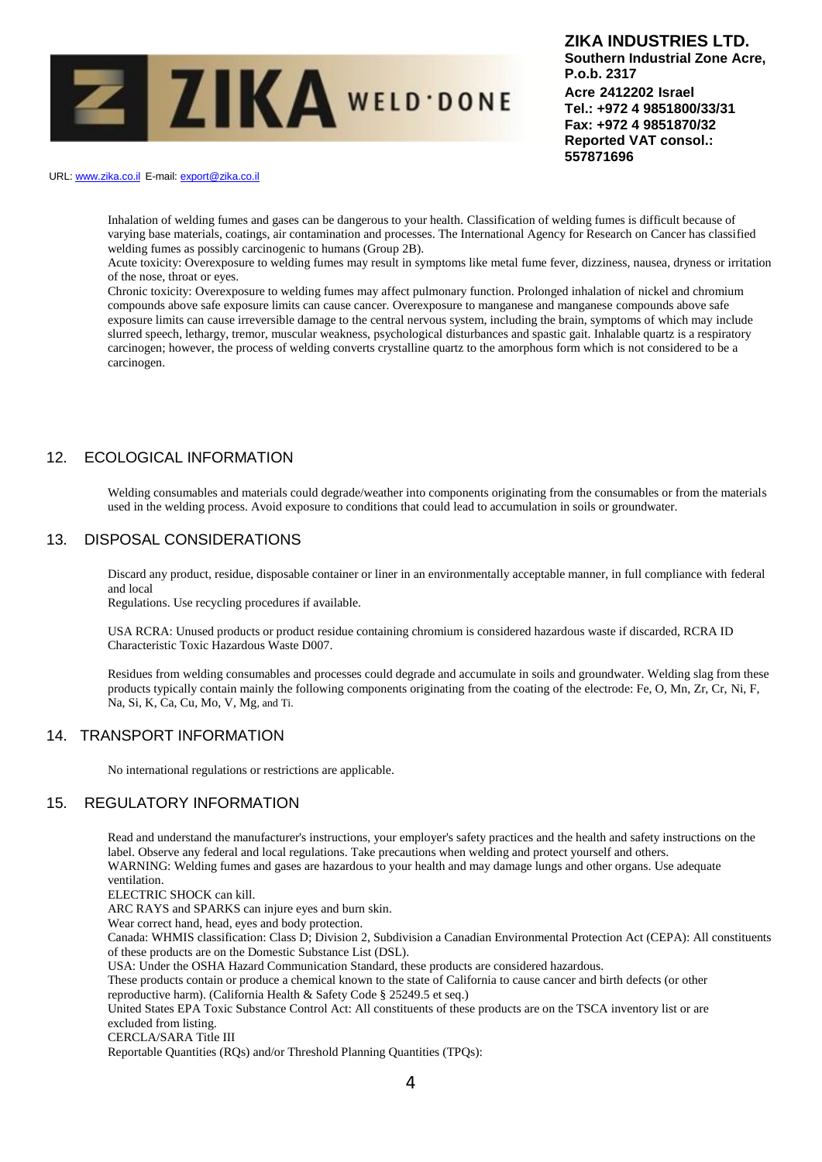

URL: www.zika.co.il E-mail: export@zika.co.il

Inhalation of welding fumes and gases can be dangerous to your health. Classification of welding fumes is difficult because of varying base materials, coatings, air contamination and processes. The International Agency for Research on Cancer has classified welding fumes as possibly carcinogenic to humans (Group 2B).

Acute toxicity: Overexposure to welding fumes may result in symptoms like metal fume fever, dizziness, nausea, dryness or irritation of the nose, throat or eyes.

Chronic toxicity: Overexposure to welding fumes may affect pulmonary function. Prolonged inhalation of nickel and chromium compounds above safe exposure limits can cause cancer. Overexposure to manganese and manganese compounds above safe exposure limits can cause irreversible damage to the central nervous system, including the brain, symptoms of which may include slurred speech, lethargy, tremor, muscular weakness, psychological disturbances and spastic gait. Inhalable quartz is a respiratory carcinogen; however, the process of welding converts crystalline quartz to the amorphous form which is not considered to be a carcinogen.

## 12. ECOLOGICAL INFORMATION

Welding consumables and materials could degrade/weather into components originating from the consumables or from the materials used in the welding process. Avoid exposure to conditions that could lead to accumulation in soils or groundwater.

#### 13. DISPOSAL CONSIDERATIONS

Discard any product, residue, disposable container or liner in an environmentally acceptable manner, in full compliance with federal and local

Regulations. Use recycling procedures if available.

USA RCRA: Unused products or product residue containing chromium is considered hazardous waste if discarded, RCRA ID Characteristic Toxic Hazardous Waste D007.

Residues from welding consumables and processes could degrade and accumulate in soils and groundwater. Welding slag from these products typically contain mainly the following components originating from the coating of the electrode: Fe, O, Mn, Zr, Cr, Ni, F, Na, Si, K, Ca, Cu, Mo, V, Mg, and Ti.

#### 14. TRANSPORT INFORMATION

No international regulations or restrictions are applicable.

#### 15. REGULATORY INFORMATION

Read and understand the manufacturer's instructions, your employer's safety practices and the health and safety instructions on the label. Observe any federal and local regulations. Take precautions when welding and protect yourself and others. WARNING: Welding fumes and gases are hazardous to your health and may damage lungs and other organs. Use adequate ventilation.

ELECTRIC SHOCK can kill.

ARC RAYS and SPARKS can injure eyes and burn skin.

Wear correct hand, head, eyes and body protection.

Canada: WHMIS classification: Class D; Division 2, Subdivision a Canadian Environmental Protection Act (CEPA): All constituents of these products are on the Domestic Substance List (DSL).

USA: Under the OSHA Hazard Communication Standard, these products are considered hazardous.

These products contain or produce a chemical known to the state of California to cause cancer and birth defects (or other reproductive harm). (California Health & Safety Code § 25249.5 et seq.)

United States EPA Toxic Substance Control Act: All constituents of these products are on the TSCA inventory list or are excluded from listing.

CERCLA/SARA Title III

Reportable Quantities (RQs) and/or Threshold Planning Quantities (TPQs):